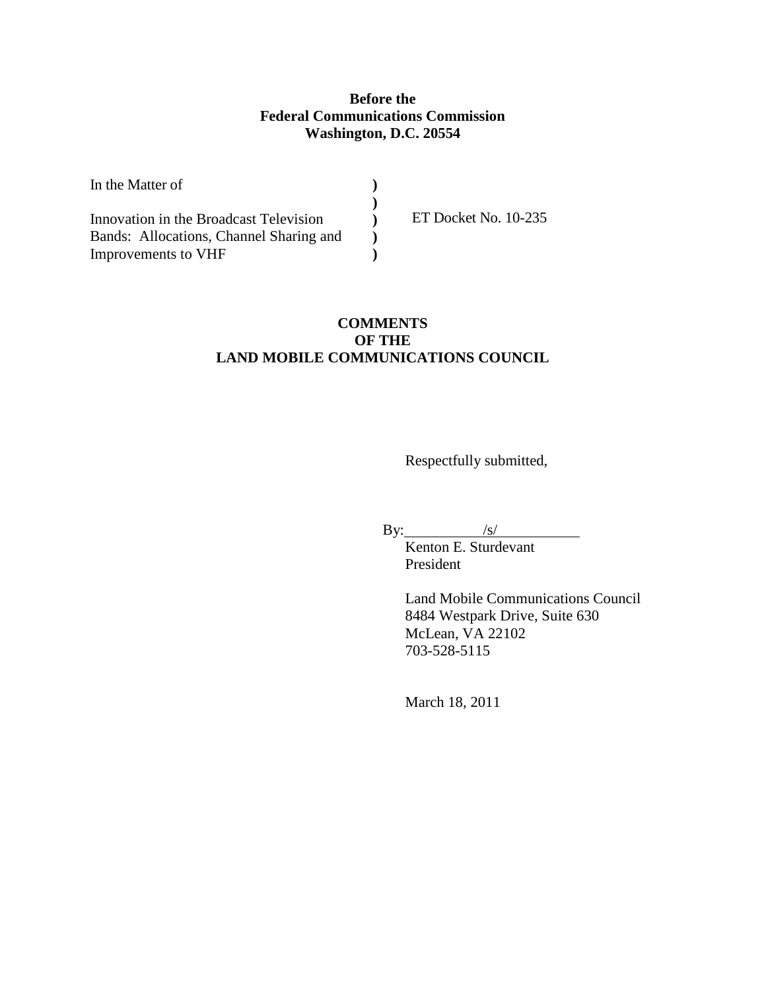## **Before the Federal Communications Commission Washington, D.C. 20554**

| In the Matter of                        |                      |
|-----------------------------------------|----------------------|
|                                         |                      |
| Innovation in the Broadcast Television  | ET Docket No. 10-235 |
| Bands: Allocations, Channel Sharing and |                      |
| Improvements to VHF                     |                      |

## **COMMENTS OF THE LAND MOBILE COMMUNICATIONS COUNCIL**

Respectfully submitted,

By:  $\sqrt{s/}$ 

. Kenton E. Sturdevant President

> Land Mobile Communications Council 8484 Westpark Drive, Suite 630 McLean, VA 22102 703-528-5115

March 18, 2011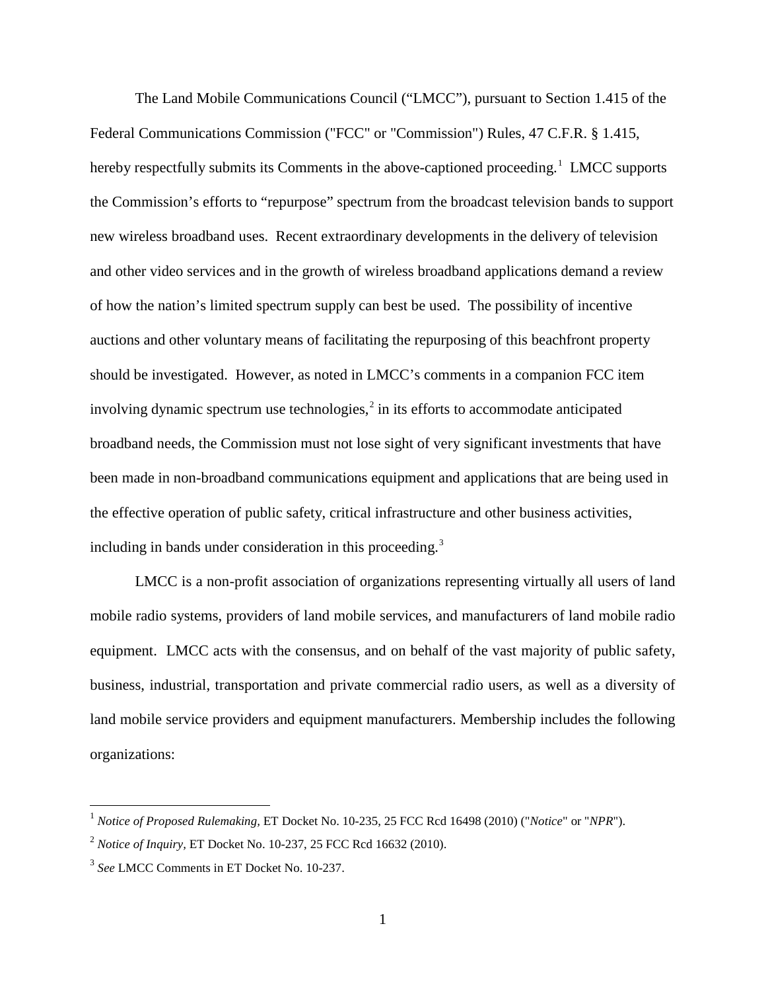The Land Mobile Communications Council ("LMCC"), pursuant to Section 1.415 of the Federal Communications Commission ("FCC" or "Commission") Rules, 47 C.F.R. § 1.415, hereby respectfully submits its Comments in the above-captioned proceeding.<sup>[1](#page-1-0)</sup> LMCC supports the Commission's efforts to "repurpose" spectrum from the broadcast television bands to support new wireless broadband uses. Recent extraordinary developments in the delivery of television and other video services and in the growth of wireless broadband applications demand a review of how the nation's limited spectrum supply can best be used. The possibility of incentive auctions and other voluntary means of facilitating the repurposing of this beachfront property should be investigated. However, as noted in LMCC's comments in a companion FCC item involving dynamic spectrum use technologies, $<sup>2</sup>$  $<sup>2</sup>$  $<sup>2</sup>$  in its efforts to accommodate anticipated</sup> broadband needs, the Commission must not lose sight of very significant investments that have been made in non-broadband communications equipment and applications that are being used in the effective operation of public safety, critical infrastructure and other business activities, including in bands under consideration in this proceeding.<sup>[3](#page-1-2)</sup>

LMCC is a non-profit association of organizations representing virtually all users of land mobile radio systems, providers of land mobile services, and manufacturers of land mobile radio equipment. LMCC acts with the consensus, and on behalf of the vast majority of public safety, business, industrial, transportation and private commercial radio users, as well as a diversity of land mobile service providers and equipment manufacturers. Membership includes the following organizations:

<span id="page-1-0"></span> <sup>1</sup> *Notice of Proposed Rulemaking,* ET Docket No. 10-235, 25 FCC Rcd 16498 (2010) ("*Notice*" or "*NPR*").

<span id="page-1-1"></span><sup>2</sup> *Notice of Inquiry,* ET Docket No. 10-237, 25 FCC Rcd 16632 (2010).

<span id="page-1-2"></span><sup>3</sup> *See* LMCC Comments in ET Docket No. 10-237.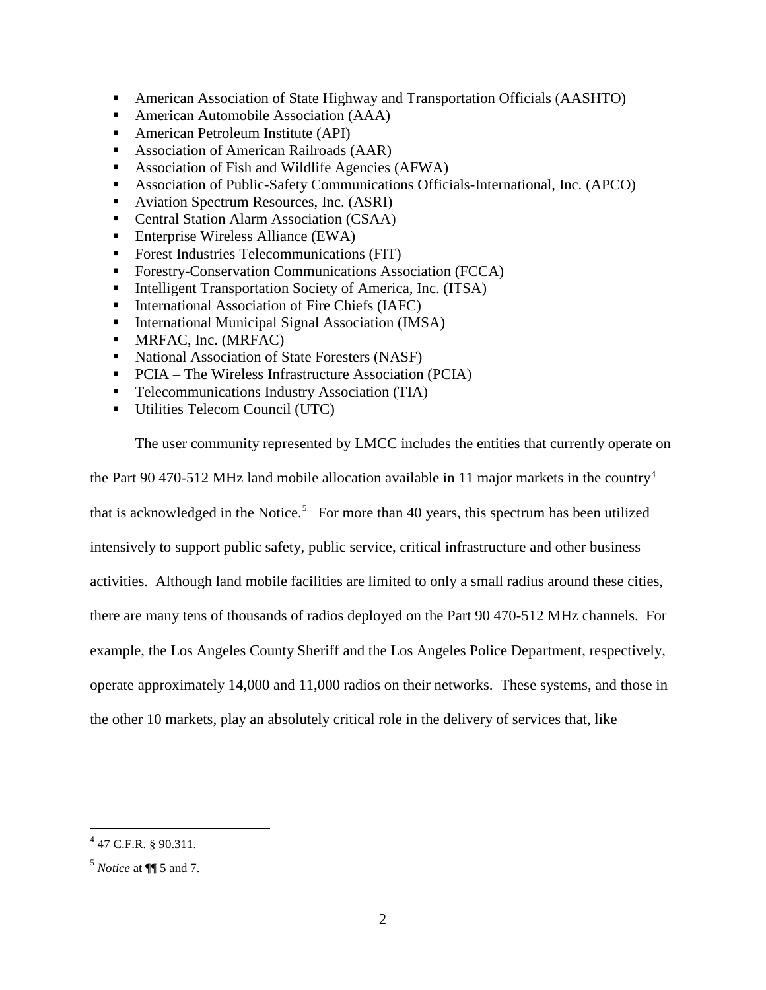- American Association of State Highway and Transportation Officials (AASHTO)
- American Automobile Association (AAA)
- American Petroleum Institute (API)
- Association of American Railroads (AAR)
- Association of Fish and Wildlife Agencies (AFWA)
- Association of Public-Safety Communications Officials-International, Inc. (APCO)
- Aviation Spectrum Resources, Inc. (ASRI)
- Central Station Alarm Association (CSAA)
- Enterprise Wireless Alliance (EWA)
- Forest Industries Telecommunications (FIT)
- **Forestry-Conservation Communications Association (FCCA)**
- Intelligent Transportation Society of America, Inc. (ITSA)
- International Association of Fire Chiefs (IAFC)
- International Municipal Signal Association (IMSA)
- **MRFAC, Inc. (MRFAC)**
- National Association of State Foresters (NASF)
- PCIA The Wireless Infrastructure Association (PCIA)
- **Telecommunications Industry Association (TIA)**
- Utilities Telecom Council (UTC)

The user community represented by LMCC includes the entities that currently operate on

the Part 90 [4](#page-2-0)70-512 MHz land mobile allocation available in 11 major markets in the country<sup>4</sup>

that is acknowledged in the Notice.<sup>[5](#page-2-1)</sup> For more than 40 years, this spectrum has been utilized

intensively to support public safety, public service, critical infrastructure and other business

activities. Although land mobile facilities are limited to only a small radius around these cities,

there are many tens of thousands of radios deployed on the Part 90 470-512 MHz channels. For

example, the Los Angeles County Sheriff and the Los Angeles Police Department, respectively,

operate approximately 14,000 and 11,000 radios on their networks. These systems, and those in

the other 10 markets, play an absolutely critical role in the delivery of services that, like

<span id="page-2-0"></span> $4$  47 C.F.R. § 90.311.

<span id="page-2-1"></span><sup>5</sup> *Notice* at ¶¶ 5 and 7.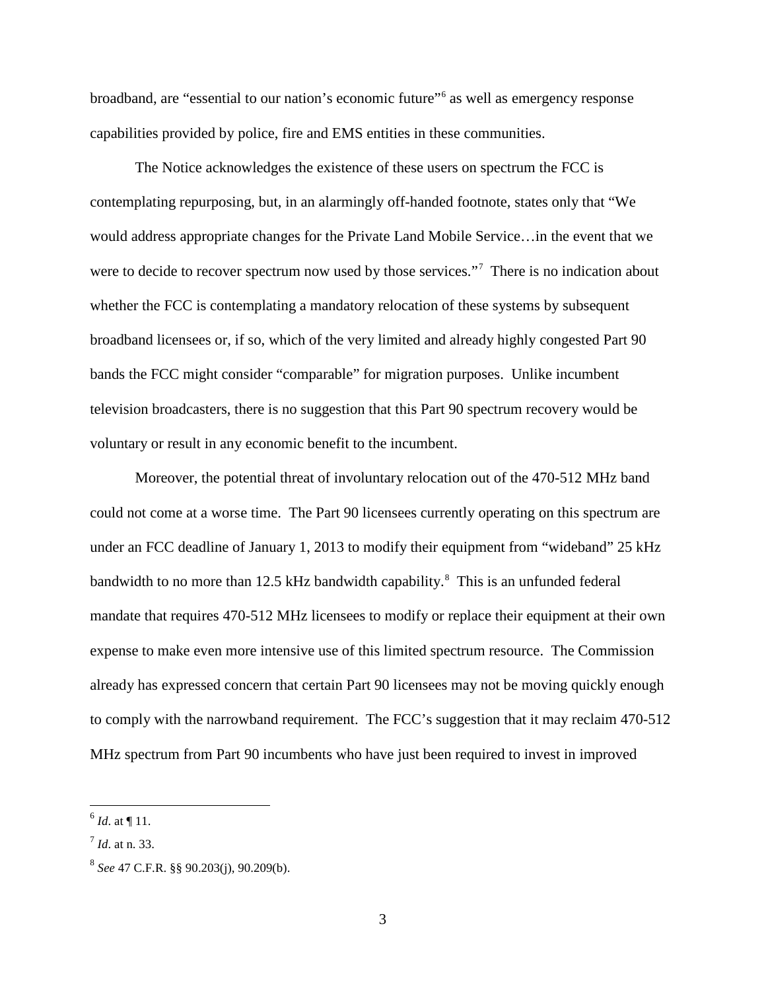broadband, are "essential to our nation's economic future"<sup>[6](#page-3-0)</sup> as well as emergency response capabilities provided by police, fire and EMS entities in these communities.

The Notice acknowledges the existence of these users on spectrum the FCC is contemplating repurposing, but, in an alarmingly off-handed footnote, states only that "We would address appropriate changes for the Private Land Mobile Service…in the event that we were to decide to recover spectrum now used by those services."<sup>[7](#page-3-1)</sup> There is no indication about whether the FCC is contemplating a mandatory relocation of these systems by subsequent broadband licensees or, if so, which of the very limited and already highly congested Part 90 bands the FCC might consider "comparable" for migration purposes. Unlike incumbent television broadcasters, there is no suggestion that this Part 90 spectrum recovery would be voluntary or result in any economic benefit to the incumbent.

Moreover, the potential threat of involuntary relocation out of the 470-512 MHz band could not come at a worse time. The Part 90 licensees currently operating on this spectrum are under an FCC deadline of January 1, 2013 to modify their equipment from "wideband" 25 kHz bandwidth to no more than 12.5 kHz bandwidth capability.<sup>[8](#page-3-2)</sup> This is an unfunded federal mandate that requires 470-512 MHz licensees to modify or replace their equipment at their own expense to make even more intensive use of this limited spectrum resource. The Commission already has expressed concern that certain Part 90 licensees may not be moving quickly enough to comply with the narrowband requirement. The FCC's suggestion that it may reclaim 470-512 MHz spectrum from Part 90 incumbents who have just been required to invest in improved

<span id="page-3-0"></span> $^{6}$  *Id.* at ¶ 11.

<span id="page-3-1"></span><sup>7</sup> *Id*. at n. 33.

<span id="page-3-2"></span><sup>8</sup> *See* 47 C.F.R. §§ 90.203(j), 90.209(b).